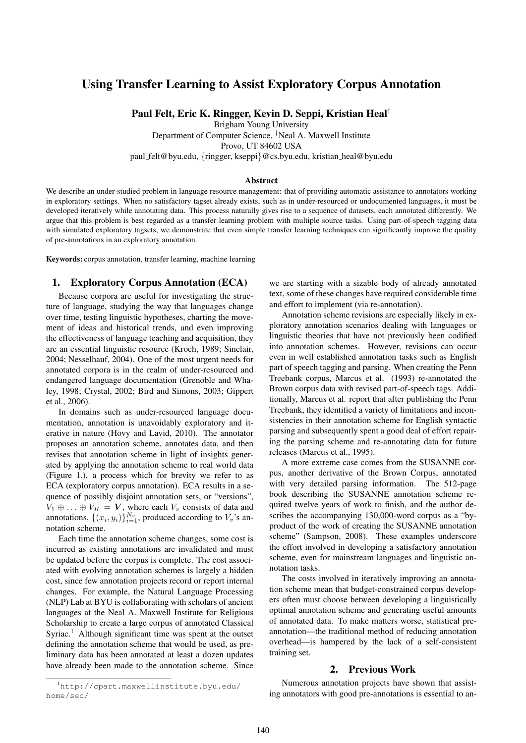# Using Transfer Learning to Assist Exploratory Corpus Annotation

Paul Felt, Eric K. Ringger, Kevin D. Seppi, Kristian Heal†

Brigham Young University

Department of Computer Science, †Neal A. Maxwell Institute

Provo, UT 84602 USA

paul felt@byu.edu, {ringger, kseppi}@cs.byu.edu, kristian heal@byu.edu

#### Abstract

We describe an under-studied problem in language resource management: that of providing automatic assistance to annotators working in exploratory settings. When no satisfactory tagset already exists, such as in under-resourced or undocumented languages, it must be developed iteratively while annotating data. This process naturally gives rise to a sequence of datasets, each annotated differently. We argue that this problem is best regarded as a transfer learning problem with multiple source tasks. Using part-of-speech tagging data with simulated exploratory tagsets, we demonstrate that even simple transfer learning techniques can significantly improve the quality of pre-annotations in an exploratory annotation.

Keywords: corpus annotation, transfer learning, machine learning

## 1. Exploratory Corpus Annotation (ECA)

Because corpora are useful for investigating the structure of language, studying the way that languages change over time, testing linguistic hypotheses, charting the movement of ideas and historical trends, and even improving the effectiveness of language teaching and acquisition, they are an essential linguistic resource (Kroch, 1989; Sinclair, 2004; Nesselhauf, 2004). One of the most urgent needs for annotated corpora is in the realm of under-resourced and endangered language documentation (Grenoble and Whaley, 1998; Crystal, 2002; Bird and Simons, 2003; Gippert et al., 2006).

In domains such as under-resourced language documentation, annotation is unavoidably exploratory and iterative in nature (Hovy and Lavid, 2010). The annotator proposes an annotation scheme, annotates data, and then revises that annotation scheme in light of insights generated by applying the annotation scheme to real world data (Figure 1.), a process which for brevity we refer to as ECA (exploratory corpus annotation). ECA results in a sequence of possibly disjoint annotation sets, or "versions",  $V_1 \oplus \ldots \oplus V_K = V$ , where each  $V_v$  consists of data and annotations,  $\{(x_i, y_i)\}_{i=1}^{N_v}$ , produced according to  $V_v$ 's annotation scheme.

Each time the annotation scheme changes, some cost is incurred as existing annotations are invalidated and must be updated before the corpus is complete. The cost associated with evolving annotation schemes is largely a hidden cost, since few annotation projects record or report internal changes. For example, the Natural Language Processing (NLP) Lab at BYU is collaborating with scholars of ancient languages at the Neal A. Maxwell Institute for Religious Scholarship to create a large corpus of annotated Classical Syriac.<sup>1</sup> Although significant time was spent at the outset defining the annotation scheme that would be used, as preliminary data has been annotated at least a dozen updates have already been made to the annotation scheme. Since

<sup>1</sup>http://cpart.maxwellinstitute.byu.edu/ home/sec/

we are starting with a sizable body of already annotated text, some of these changes have required considerable time and effort to implement (via re-annotation).

Annotation scheme revisions are especially likely in exploratory annotation scenarios dealing with languages or linguistic theories that have not previously been codified into annotation schemes. However, revisions can occur even in well established annotation tasks such as English part of speech tagging and parsing. When creating the Penn Treebank corpus, Marcus et al. (1993) re-annotated the Brown corpus data with revised part-of-speech tags. Additionally, Marcus et al. report that after publishing the Penn Treebank, they identified a variety of limitations and inconsistencies in their annotation scheme for English syntactic parsing and subsequently spent a good deal of effort repairing the parsing scheme and re-annotating data for future releases (Marcus et al., 1995).

A more extreme case comes from the SUSANNE corpus, another derivative of the Brown Corpus, annotated with very detailed parsing information. The 512-page book describing the SUSANNE annotation scheme required twelve years of work to finish, and the author describes the accompanying 130,000-word corpus as a "byproduct of the work of creating the SUSANNE annotation scheme" (Sampson, 2008). These examples underscore the effort involved in developing a satisfactory annotation scheme, even for mainstream languages and linguistic annotation tasks.

The costs involved in iteratively improving an annotation scheme mean that budget-constrained corpus developers often must choose between developing a linguistically optimal annotation scheme and generating useful amounts of annotated data. To make matters worse, statistical preannotation—the traditional method of reducing annotation overhead—is hampered by the lack of a self-consistent training set.

#### 2. Previous Work

Numerous annotation projects have shown that assisting annotators with good pre-annotations is essential to an-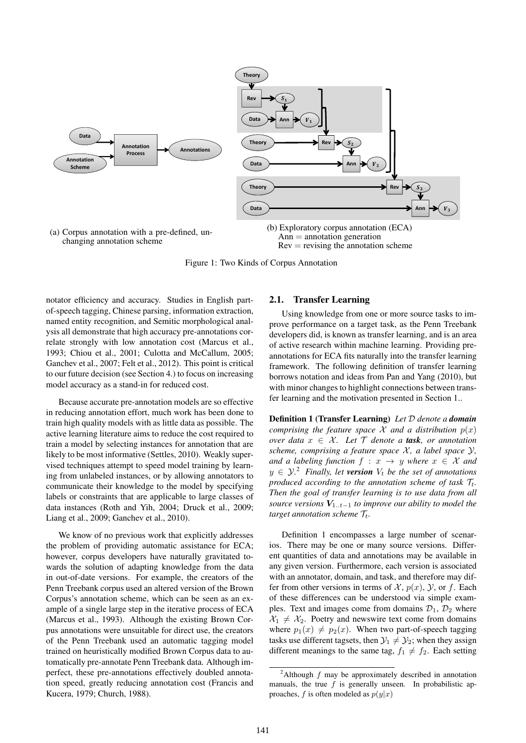

Figure 1: Two Kinds of Corpus Annotation

notator efficiency and accuracy. Studies in English partof-speech tagging, Chinese parsing, information extraction, named entity recognition, and Semitic morphological analysis all demonstrate that high accuracy pre-annotations correlate strongly with low annotation cost (Marcus et al., 1993; Chiou et al., 2001; Culotta and McCallum, 2005; Ganchev et al., 2007; Felt et al., 2012). This point is critical to our future decision (see Section 4.) to focus on increasing model accuracy as a stand-in for reduced cost.

Because accurate pre-annotation models are so effective in reducing annotation effort, much work has been done to train high quality models with as little data as possible. The active learning literature aims to reduce the cost required to train a model by selecting instances for annotation that are likely to be most informative (Settles, 2010). Weakly supervised techniques attempt to speed model training by learning from unlabeled instances, or by allowing annotators to communicate their knowledge to the model by specifying labels or constraints that are applicable to large classes of data instances (Roth and Yih, 2004; Druck et al., 2009; Liang et al., 2009; Ganchev et al., 2010).

We know of no previous work that explicitly addresses the problem of providing automatic assistance for ECA; however, corpus developers have naturally gravitated towards the solution of adapting knowledge from the data in out-of-date versions. For example, the creators of the Penn Treebank corpus used an altered version of the Brown Corpus's annotation scheme, which can be seen as an example of a single large step in the iterative process of ECA (Marcus et al., 1993). Although the existing Brown Corpus annotations were unsuitable for direct use, the creators of the Penn Treebank used an automatic tagging model trained on heuristically modified Brown Corpus data to automatically pre-annotate Penn Treebank data. Although imperfect, these pre-annotations effectively doubled annotation speed, greatly reducing annotation cost (Francis and Kucera, 1979; Church, 1988).

#### 2.1. Transfer Learning

Using knowledge from one or more source tasks to improve performance on a target task, as the Penn Treebank developers did, is known as transfer learning, and is an area of active research within machine learning. Providing preannotations for ECA fits naturally into the transfer learning framework. The following definition of transfer learning borrows notation and ideas from Pan and Yang (2010), but with minor changes to highlight connections between transfer learning and the motivation presented in Section 1..

Definition 1 (Transfer Learning) *Let* D *denote a domain comprising the feature space*  $\mathcal X$  *and a distribution*  $p(x)$ *over data*  $x \in \mathcal{X}$ *. Let*  $\mathcal{T}$  *denote a task, or annotation scheme, comprising a feature space*  $X$ *, a label space*  $Y$ *, and a labeling function*  $f : x \rightarrow y$  *where*  $x \in \mathcal{X}$  *and*  $y \in \mathcal{Y}$ <sup>2</sup> *Finally, let version*  $V_t$  *be the set of annotations produced according to the annotation scheme of task*  $\mathcal{T}_t$ . *Then the goal of transfer learning is to use data from all source versions*  $V_{1..t-1}$  *to improve our ability to model the target annotation scheme*  $\mathcal{T}_t$ .

Definition 1 encompasses a large number of scenarios. There may be one or many source versions. Different quantities of data and annotations may be available in any given version. Furthermore, each version is associated with an annotator, domain, and task, and therefore may differ from other versions in terms of  $\mathcal{X}$ ,  $p(x)$ ,  $\mathcal{Y}$ , or f. Each of these differences can be understood via simple examples. Text and images come from domains  $\mathcal{D}_1$ ,  $\mathcal{D}_2$  where  $X_1 \neq X_2$ . Poetry and newswire text come from domains where  $p_1(x) \neq p_2(x)$ . When two part-of-speech tagging tasks use different tagsets, then  $\mathcal{Y}_1 \neq \mathcal{Y}_2$ ; when they assign different meanings to the same tag,  $f_1 \neq f_2$ . Each setting

<sup>&</sup>lt;sup>2</sup>Although  $f$  may be approximately described in annotation manuals, the true  $f$  is generally unseen. In probabilistic approaches, f is often modeled as  $p(y|x)$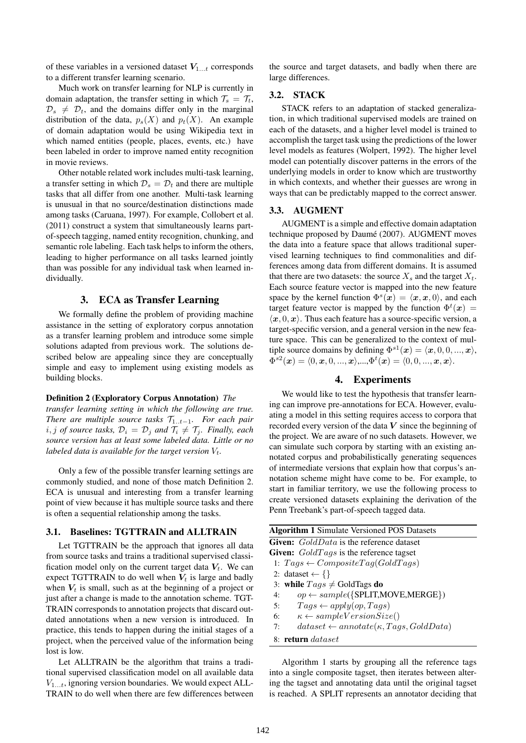of these variables in a versioned dataset  $V_{1...t}$  corresponds to a different transfer learning scenario.

Much work on transfer learning for NLP is currently in domain adaptation, the transfer setting in which  $\mathcal{T}_s = \mathcal{T}_t$ ,  $\mathcal{D}_s \neq \mathcal{D}_t$ , and the domains differ only in the marginal distribution of the data,  $p_s(X)$  and  $p_t(X)$ . An example of domain adaptation would be using Wikipedia text in which named entities (people, places, events, etc.) have been labeled in order to improve named entity recognition in movie reviews.

Other notable related work includes multi-task learning, a transfer setting in which  $\mathcal{D}_s = \mathcal{D}_t$  and there are multiple tasks that all differ from one another. Multi-task learning is unusual in that no source/destination distinctions made among tasks (Caruana, 1997). For example, Collobert et al. (2011) construct a system that simultaneously learns partof-speech tagging, named entity recognition, chunking, and semantic role labeling. Each task helps to inform the others, leading to higher performance on all tasks learned jointly than was possible for any individual task when learned individually.

### 3. ECA as Transfer Learning

We formally define the problem of providing machine assistance in the setting of exploratory corpus annotation as a transfer learning problem and introduce some simple solutions adapted from previous work. The solutions described below are appealing since they are conceptually simple and easy to implement using existing models as building blocks.

#### Definition 2 (Exploratory Corpus Annotation) *The*

*transfer learning setting in which the following are true. There are multiple source tasks*  $\mathcal{T}_{1..t-1}$ *. For each pair*  $i, j$  *of source tasks,*  $\mathcal{D}_i = \mathcal{D}_j$  *and*  $\mathcal{T}_i \neq \mathcal{T}_j$ *. Finally, each source version has at least some labeled data. Little or no labeled data is available for the target version*  $V_t$ .

Only a few of the possible transfer learning settings are commonly studied, and none of those match Definition 2. ECA is unusual and interesting from a transfer learning point of view because it has multiple source tasks and there is often a sequential relationship among the tasks.

#### 3.1. Baselines: TGTTRAIN and ALLTRAIN

Let TGTTRAIN be the approach that ignores all data from source tasks and trains a traditional supervised classification model only on the current target data  $V_t$ . We can expect TGTTRAIN to do well when  $V_t$  is large and badly when  $V_t$  is small, such as at the beginning of a project or just after a change is made to the annotation scheme. TGT-TRAIN corresponds to annotation projects that discard outdated annotations when a new version is introduced. In practice, this tends to happen during the initial stages of a project, when the perceived value of the information being lost is low.

Let ALLTRAIN be the algorithm that trains a traditional supervised classification model on all available data  $V_{1...t}$ , ignoring version boundaries. We would expect ALL-TRAIN to do well when there are few differences between the source and target datasets, and badly when there are large differences.

## 3.2. STACK

STACK refers to an adaptation of stacked generalization, in which traditional supervised models are trained on each of the datasets, and a higher level model is trained to accomplish the target task using the predictions of the lower level models as features (Wolpert, 1992). The higher level model can potentially discover patterns in the errors of the underlying models in order to know which are trustworthy in which contexts, and whether their guesses are wrong in ways that can be predictably mapped to the correct answer.

## 3.3. AUGMENT

AUGMENT is a simple and effective domain adaptation technique proposed by Daumé (2007). AUGMENT moves the data into a feature space that allows traditional supervised learning techniques to find commonalities and differences among data from different domains. It is assumed that there are two datasets: the source  $X_s$  and the target  $X_t$ . Each source feature vector is mapped into the new feature space by the kernel function  $\Phi^s(\mathbf{x}) = \langle \mathbf{x}, \mathbf{x}, 0 \rangle$ , and each target feature vector is mapped by the function  $\Phi^t(\boldsymbol{x}) =$  $\langle x, 0, x \rangle$ . Thus each feature has a source-specific version, a target-specific version, and a general version in the new feature space. This can be generalized to the context of multiple source domains by defining  $\Phi^{s1}(\boldsymbol{x}) = \langle \boldsymbol{x}, 0, 0, ..., \boldsymbol{x} \rangle$ ,  $\Phi^{s2}(\boldsymbol{x}) = \langle 0, \boldsymbol{x}, 0, ..., \boldsymbol{x} \rangle, ..., \Phi^{t}(\boldsymbol{x}) = \langle 0, 0, ..., \boldsymbol{x}, \boldsymbol{x} \rangle.$ 

## 4. Experiments

We would like to test the hypothesis that transfer learning can improve pre-annotations for ECA. However, evaluating a model in this setting requires access to corpora that recorded every version of the data  $V$  since the beginning of the project. We are aware of no such datasets. However, we can simulate such corpora by starting with an existing annotated corpus and probabilistically generating sequences of intermediate versions that explain how that corpus's annotation scheme might have come to be. For example, to start in familiar territory, we use the following process to create versioned datasets explaining the derivation of the Penn Treebank's part-of-speech tagged data.

|    | <b>Algorithm 1 Simulate Versioned POS Datasets</b>    |
|----|-------------------------------------------------------|
|    | <b>Given:</b> GoldData is the reference dataset       |
|    | Given: $GoldTags$ is the reference tagset             |
|    | 1: $Tags \leftarrow CompositeTag(GoldTag)$            |
|    | 2: dataset $\leftarrow \{\}$                          |
|    | 3: while $Tags \neq$ GoldTags do                      |
| 4: | $op \leftarrow sample({SPLIT,MOVE, MERGE})$           |
| 5: | $Tags \leftarrow apply(op, Tags)$                     |
| 6: | $\kappa \leftarrow sampleVersionSize()$               |
| 7: | $dataset \leftarrow annotate(\kappa, Tags, GoldData)$ |
|    | 8: return dataset                                     |

Algorithm 1 starts by grouping all the reference tags into a single composite tagset, then iterates between altering the tagset and annotating data until the original tagset is reached. A SPLIT represents an annotator deciding that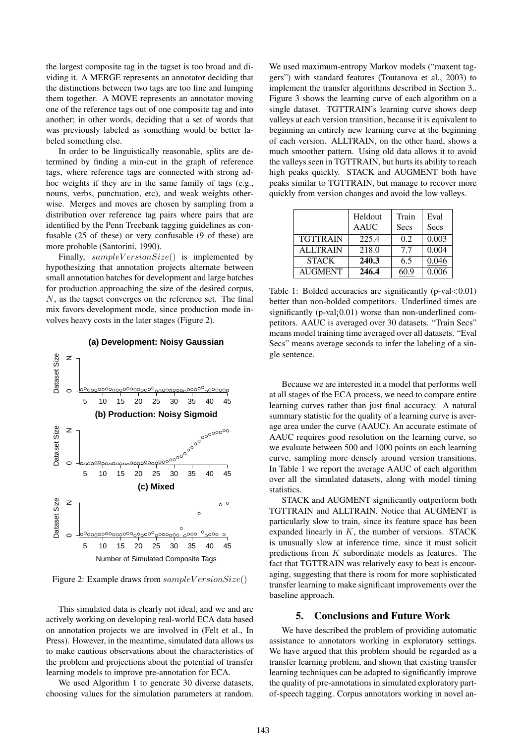the largest composite tag in the tagset is too broad and dividing it. A MERGE represents an annotator deciding that the distinctions between two tags are too fine and lumping them together. A MOVE represents an annotator moving one of the reference tags out of one composite tag and into another; in other words, deciding that a set of words that was previously labeled as something would be better labeled something else.

In order to be linguistically reasonable, splits are determined by finding a min-cut in the graph of reference tags, where reference tags are connected with strong adhoc weights if they are in the same family of tags (e.g., nouns, verbs, punctuation, etc), and weak weights otherwise. Merges and moves are chosen by sampling from a distribution over reference tag pairs where pairs that are identified by the Penn Treebank tagging guidelines as confusable (25 of these) or very confusable (9 of these) are more probable (Santorini, 1990).

Finally,  $sampleVersionSize()$  is implemented by hypothesizing that annotation projects alternate between small annotation batches for development and large batches for production approaching the size of the desired corpus, N, as the tagset converges on the reference set. The final mix favors development mode, since production mode involves heavy costs in the later stages (Figure 2).



**(a) Development: Noisy Gaussian**

Figure 2: Example draws from  $sampleVersionSize()$ 

This simulated data is clearly not ideal, and we and are actively working on developing real-world ECA data based on annotation projects we are involved in (Felt et al., In Press). However, in the meantime, simulated data allows us to make cautious observations about the characteristics of the problem and projections about the potential of transfer learning models to improve pre-annotation for ECA.

We used Algorithm 1 to generate 30 diverse datasets, choosing values for the simulation parameters at random. We used maximum-entropy Markov models ("maxent taggers") with standard features (Toutanova et al., 2003) to implement the transfer algorithms described in Section 3.. Figure 3 shows the learning curve of each algorithm on a single dataset. TGTTRAIN's learning curve shows deep valleys at each version transition, because it is equivalent to beginning an entirely new learning curve at the beginning of each version. ALLTRAIN, on the other hand, shows a much smoother pattern. Using old data allows it to avoid the valleys seen in TGTTRAIN, but hurts its ability to reach high peaks quickly. STACK and AUGMENT both have peaks similar to TGTTRAIN, but manage to recover more quickly from version changes and avoid the low valleys.

|                 | Heldout<br><b>AAUC</b> | Train<br>Secs | Eval<br>Secs |
|-----------------|------------------------|---------------|--------------|
| <b>TGTTRAIN</b> | 225.4                  | 0.2           | 0.003        |
| <b>ALLTRAIN</b> | 218.0                  | 77            | 0.004        |
| <b>STACK</b>    | 240.3                  | 6.5           | 0.046        |
| <b>AUGMENT</b>  | 246.4                  | 60.9          | 0.006        |

Table 1: Bolded accuracies are significantly (p-val $< 0.01$ ) better than non-bolded competitors. Underlined times are significantly ( $p$ -val $(0.01)$ ) worse than non-underlined competitors. AAUC is averaged over 30 datasets. "Train Secs" means model training time averaged over all datasets. "Eval Secs" means average seconds to infer the labeling of a single sentence.

Because we are interested in a model that performs well at all stages of the ECA process, we need to compare entire learning curves rather than just final accuracy. A natural summary statistic for the quality of a learning curve is average area under the curve (AAUC). An accurate estimate of AAUC requires good resolution on the learning curve, so we evaluate between 500 and 1000 points on each learning curve, sampling more densely around version transitions. In Table 1 we report the average AAUC of each algorithm over all the simulated datasets, along with model timing statistics.

STACK and AUGMENT significantly outperform both TGTTRAIN and ALLTRAIN. Notice that AUGMENT is particularly slow to train, since its feature space has been expanded linearly in  $K$ , the number of versions. STACK is unusually slow at inference time, since it must solicit predictions from K subordinate models as features. The fact that TGTTRAIN was relatively easy to beat is encouraging, suggesting that there is room for more sophisticated transfer learning to make significant improvements over the baseline approach.

#### 5. Conclusions and Future Work

We have described the problem of providing automatic assistance to annotators working in exploratory settings. We have argued that this problem should be regarded as a transfer learning problem, and shown that existing transfer learning techniques can be adapted to significantly improve the quality of pre-annotations in simulated exploratory partof-speech tagging. Corpus annotators working in novel an-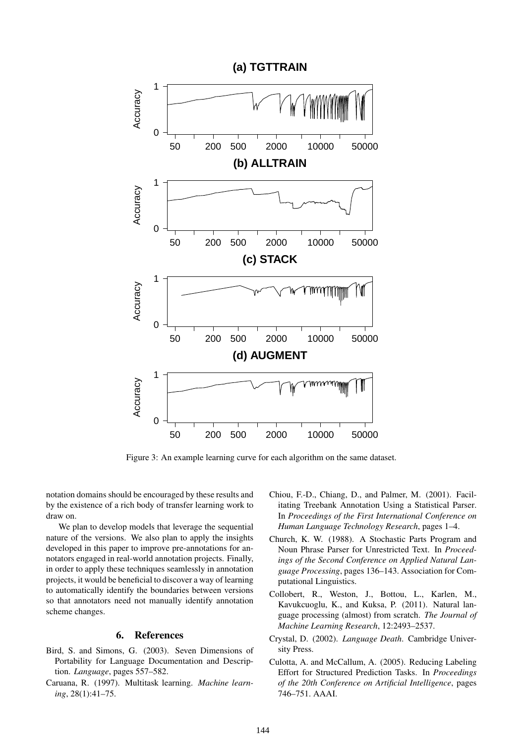

Figure 3: An example learning curve for each algorithm on the same dataset.

notation domains should be encouraged by these results and by the existence of a rich body of transfer learning work to draw on.

We plan to develop models that leverage the sequential nature of the versions. We also plan to apply the insights developed in this paper to improve pre-annotations for annotators engaged in real-world annotation projects. Finally, in order to apply these techniques seamlessly in annotation projects, it would be beneficial to discover a way of learning to automatically identify the boundaries between versions so that annotators need not manually identify annotation scheme changes.

## 6. References

- Bird, S. and Simons, G. (2003). Seven Dimensions of Portability for Language Documentation and Description. *Language*, pages 557–582.
- Caruana, R. (1997). Multitask learning. *Machine learning*, 28(1):41–75.
- Chiou, F.-D., Chiang, D., and Palmer, M. (2001). Facilitating Treebank Annotation Using a Statistical Parser. In *Proceedings of the First International Conference on Human Language Technology Research*, pages 1–4.
- Church, K. W. (1988). A Stochastic Parts Program and Noun Phrase Parser for Unrestricted Text. In *Proceedings of the Second Conference on Applied Natural Language Processing*, pages 136–143. Association for Computational Linguistics.
- Collobert, R., Weston, J., Bottou, L., Karlen, M., Kavukcuoglu, K., and Kuksa, P. (2011). Natural language processing (almost) from scratch. *The Journal of Machine Learning Research*, 12:2493–2537.
- Crystal, D. (2002). *Language Death*. Cambridge University Press.
- Culotta, A. and McCallum, A. (2005). Reducing Labeling Effort for Structured Prediction Tasks. In *Proceedings of the 20th Conference on Artificial Intelligence*, pages 746–751. AAAI.